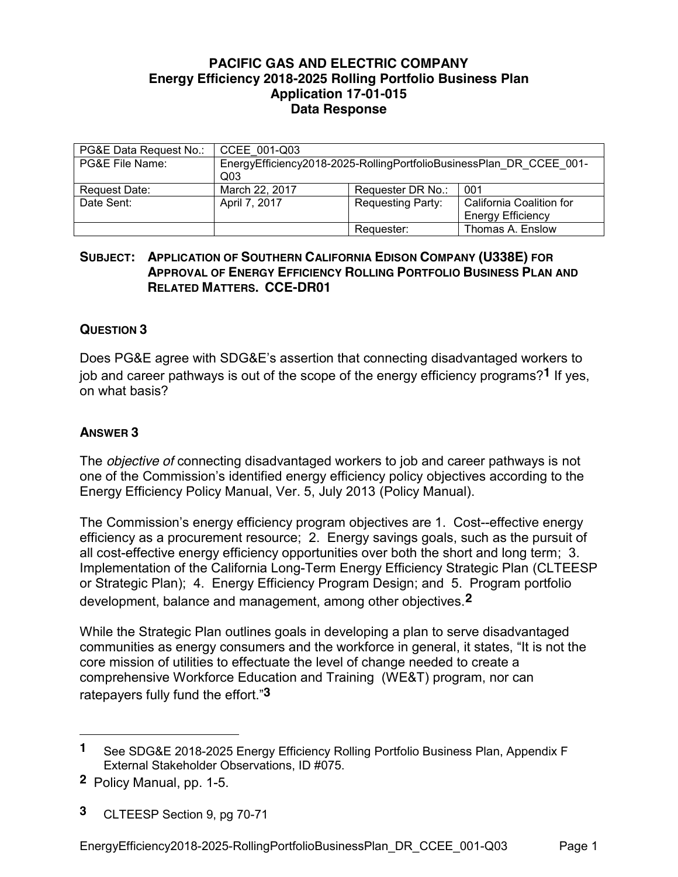## **PACIFIC GAS AND ELECTRIC COMPANY Energy Efficiency 2018-2025 Rolling Portfolio Business Plan Application 17-01-015 Data Response**

| PG&E Data Request No.: | CCEE 001-Q03                                                                           |                          |                          |
|------------------------|----------------------------------------------------------------------------------------|--------------------------|--------------------------|
| PG&E File Name:        | EnergyEfficiency2018-2025-RollingPortfolioBusinessPlan DR CCEE 001-<br>Q <sub>03</sub> |                          |                          |
| Request Date:          | March 22, 2017                                                                         | Requester DR No.:        | 001                      |
| Date Sent:             | April 7, 2017                                                                          | <b>Requesting Party:</b> | California Coalition for |
|                        |                                                                                        |                          | <b>Energy Efficiency</b> |
|                        |                                                                                        | Requester:               | Thomas A. Enslow         |

## **SUBJECT: APPLICATION OF SOUTHERN CALIFORNIA EDISON COMPANY (U338E) FOR APPROVAL OF ENERGY EFFICIENCY ROLLING PORTFOLIO BUSINESS PLAN AND RELATED MATTERS. CCE-DR01**

## **QUESTION 3**

Does PG&E agree with SDG&E's assertion that connecting disadvantaged workers to job and career pathways is out of the scope of the energy efficiency programs?**1** If yes, on what basis?

## **ANSWER 3**

The *objective of* connecting disadvantaged workers to job and career pathways is not one of the Commission's identified energy efficiency policy objectives according to the Energy Efficiency Policy Manual, Ver. 5, July 2013 (Policy Manual).

The Commission's energy efficiency program objectives are 1. Cost--effective energy efficiency as a procurement resource; 2. Energy savings goals, such as the pursuit of all cost-effective energy efficiency opportunities over both the short and long term; 3. Implementation of the California Long-Term Energy Efficiency Strategic Plan (CLTEESP or Strategic Plan); 4. Energy Efficiency Program Design; and 5. Program portfolio development, balance and management, among other objectives.**2**

While the Strategic Plan outlines goals in developing a plan to serve disadvantaged communities as energy consumers and the workforce in general, it states, "It is not the core mission of utilities to effectuate the level of change needed to create a comprehensive Workforce Education and Training (WE&T) program, nor can ratepayers fully fund the effort."**3**

 $\overline{a}$ 

**<sup>1</sup>** See SDG&E 2018-2025 Energy Efficiency Rolling Portfolio Business Plan, Appendix F External Stakeholder Observations, ID #075.

**<sup>2</sup>** Policy Manual, pp. 1-5.

**<sup>3</sup>** CLTEESP Section 9, pg 70-71